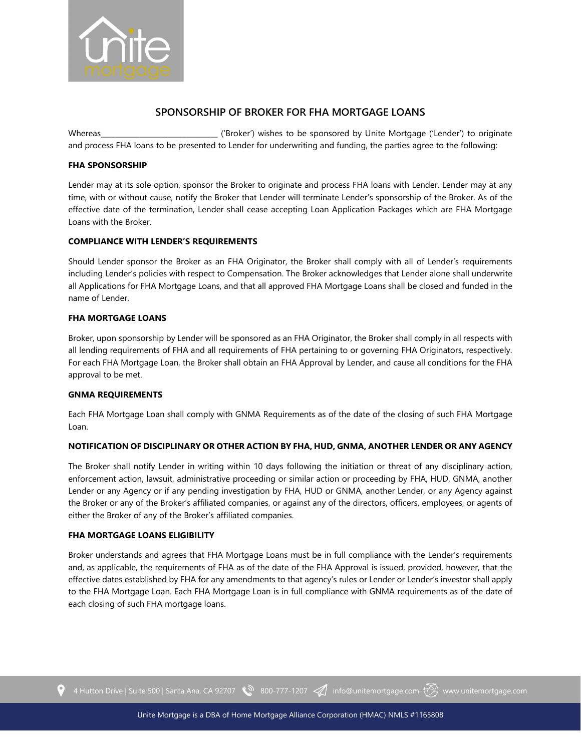

# **SPONSORSHIP OF BROKER FOR FHA MORTGAGE LOANS**

Whereas\_\_\_\_\_\_\_\_\_\_\_\_\_\_\_\_\_\_\_\_\_\_\_\_\_\_\_\_\_\_\_\_\_ ('Broker') wishes to be sponsored by Unite Mortgage ('Lender') to originate and process FHA loans to be presented to Lender for underwriting and funding, the parties agree to the following:

# **FHA SPONSORSHIP**

Lender may at its sole option, sponsor the Broker to originate and process FHA loans with Lender. Lender may at any time, with or without cause, notify the Broker that Lender will terminate Lender's sponsorship of the Broker. As of the effective date of the termination, Lender shall cease accepting Loan Application Packages which are FHA Mortgage Loans with the Broker.

# **COMPLIANCE WITH LENDER'S REQUIREMENTS**

Should Lender sponsor the Broker as an FHA Originator, the Broker shall comply with all of Lender's requirements including Lender's policies with respect to Compensation. The Broker acknowledges that Lender alone shall underwrite all Applications for FHA Mortgage Loans, and that all approved FHA Mortgage Loans shall be closed and funded in the name of Lender.

## **FHA MORTGAGE LOANS**

Broker, upon sponsorship by Lender will be sponsored as an FHA Originator, the Broker shall comply in all respects with all lending requirements of FHA and all requirements of FHA pertaining to or governing FHA Originators, respectively. For each FHA Mortgage Loan, the Broker shall obtain an FHA Approval by Lender, and cause all conditions for the FHA approval to be met.

#### **GNMA REQUIREMENTS**

Each FHA Mortgage Loan shall comply with GNMA Requirements as of the date of the closing of such FHA Mortgage Loan.

#### **NOTIFICATION OF DISCIPLINARY OR OTHER ACTION BY FHA, HUD, GNMA, ANOTHER LENDER OR ANY AGENCY**

The Broker shall notify Lender in writing within 10 days following the initiation or threat of any disciplinary action, enforcement action, lawsuit, administrative proceeding or similar action or proceeding by FHA, HUD, GNMA, another Lender or any Agency or if any pending investigation by FHA, HUD or GNMA, another Lender, or any Agency against the Broker or any of the Broker's affiliated companies, or against any of the directors, officers, employees, or agents of either the Broker of any of the Broker's affiliated companies.

#### **FHA MORTGAGE LOANS ELIGIBILITY**

Broker understands and agrees that FHA Mortgage Loans must be in full compliance with the Lender's requirements and, as applicable, the requirements of FHA as of the date of the FHA Approval is issued, provided, however, that the effective dates established by FHA for any amendments to that agency's rules or Lender or Lender's investor shall apply to the FHA Mortgage Loan. Each FHA Mortgage Loan is in full compliance with GNMA requirements as of the date of each closing of such FHA mortgage loans.